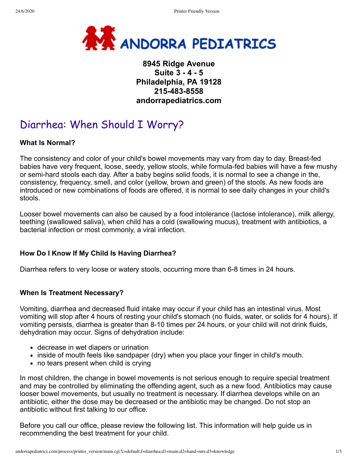

# **8945 Ridge Avenue Suite 3 - 4 - 5 Philadelphia, PA 19128 215-483-8558 andorrapediatrics.com**

# Diarrhea: When Should I Worry?

## **What Is Normal?**

The consistency and color of your child's bowel movements may vary from day to day. Breast-fed babies have very frequent, loose, seedy, yellow stools, while formula-fed babies will have a few mushy or semi-hard stools each day. After a baby begins solid foods, it is normal to see a change in the, consistency, frequency, smell, and color (yellow, brown and green) of the stools. As new foods are introduced or new combinations of foods are offered, it is normal to see daily changes in your child's stools.

Looser bowel movements can also be caused by a food intolerance (lactose intolerance), milk allergy, teething (swallowed saliva), when child has a cold (swallowing mucus), treatment with antibiotics, a bacterial infection or most commonly, a viral infection.

# **How Do I Know If My Child Is Having Diarrhea?**

Diarrhea refers to very loose or watery stools, occurring more than 6-8 times in 24 hours.

#### **When Is Treatment Necessary?**

Vomiting, diarrhea and decreased fluid intake may occur if your child has an intestinal virus. Most vomiting will stop after 4 hours of resting your child's stomach (no fluids, water, or solids for 4 hours). If vomiting persists, diarrhea is greater than 8-10 times per 24 hours, or your child will not drink fluids, dehydration may occur. Signs of dehydration include:

- decrease in wet diapers or urination
- inside of mouth feels like sandpaper (dry) when you place your finger in child's mouth.
- no tears present when child is crying

In most children, the change in bowel movements is not serious enough to require special treatment and may be controlled by eliminating the offending agent, such as a new food. Antibiotics may cause looser bowel movements, but usually no treatment is necessary. If diarrhea develops while on an antibiotic, either the dose may be decreased or the antibiotic may be changed. Do not stop an antibiotic without first talking to our office.

Before you call our office, please review the following list. This information will help guide us in recommending the best treatment for your child.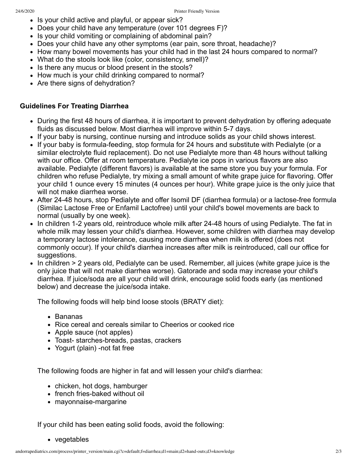- Is your child active and playful, or appear sick?
- Does your child have any temperature (over 101 degrees F)?
- Is your child vomiting or complaining of abdominal pain?
- Does your child have any other symptoms (ear pain, sore throat, headache)?
- How many bowel movements has your child had in the last 24 hours compared to normal?
- What do the stools look like (color, consistency, smell)?
- Is there any mucus or blood present in the stools?
- How much is your child drinking compared to normal?
- Are there signs of dehydration?

# **Guidelines For Treating Diarrhea**

- During the first 48 hours of diarrhea, it is important to prevent dehydration by offering adequate fluids as discussed below. Most diarrhea will improve within 5-7 days.
- If your baby is nursing, continue nursing and introduce solids as your child shows interest.
- If your baby is formula-feeding, stop formula for 24 hours and substitute with Pedialyte (or a similar electrolyte fluid replacement). Do not use Pedialyte more than 48 hours without talking with our office. Offer at room temperature. Pedialyte ice pops in various flavors are also available. Pedialyte (different flavors) is available at the same store you buy your formula. For children who refuse Pedialyte, try mixing a small amount of white grape juice for flavoring. Offer your child 1 ounce every 15 minutes (4 ounces per hour). White grape juice is the only juice that will not make diarrhea worse.
- After 24-48 hours, stop Pedialyte and offer Isomil DF (diarrhea formula) or a lactose-free formula (Similac Lactose Free or Enfamil Lactofree) until your child's bowel movements are back to normal (usually by one week).
- In children 1-2 years old, reintroduce whole milk after 24-48 hours of using Pedialyte. The fat in whole milk may lessen your child's diarrhea. However, some children with diarrhea may develop a temporary lactose intolerance, causing more diarrhea when milk is offered (does not commonly occur). If your child's diarrhea increases after milk is reintroduced, call our office for suggestions.
- $\bullet$  In children  $>$  2 years old, Pedialyte can be used. Remember, all juices (white grape juice is the only juice that will not make diarrhea worse). Gatorade and soda may increase your child's diarrhea. If juice/soda are all your child will drink, encourage solid foods early (as mentioned below) and decrease the juice/soda intake.

The following foods will help bind loose stools (BRATY diet):

- Bananas
- Rice cereal and cereals similar to Cheerios or cooked rice
- Apple sauce (not apples)
- Toast- starches-breads, pastas, crackers
- Yogurt (plain) -not fat free

The following foods are higher in fat and will lessen your child's diarrhea:

- chicken, hot dogs, hamburger
- french fries-baked without oil
- mayonnaise-margarine

If your child has been eating solid foods, avoid the following:

• vegetables